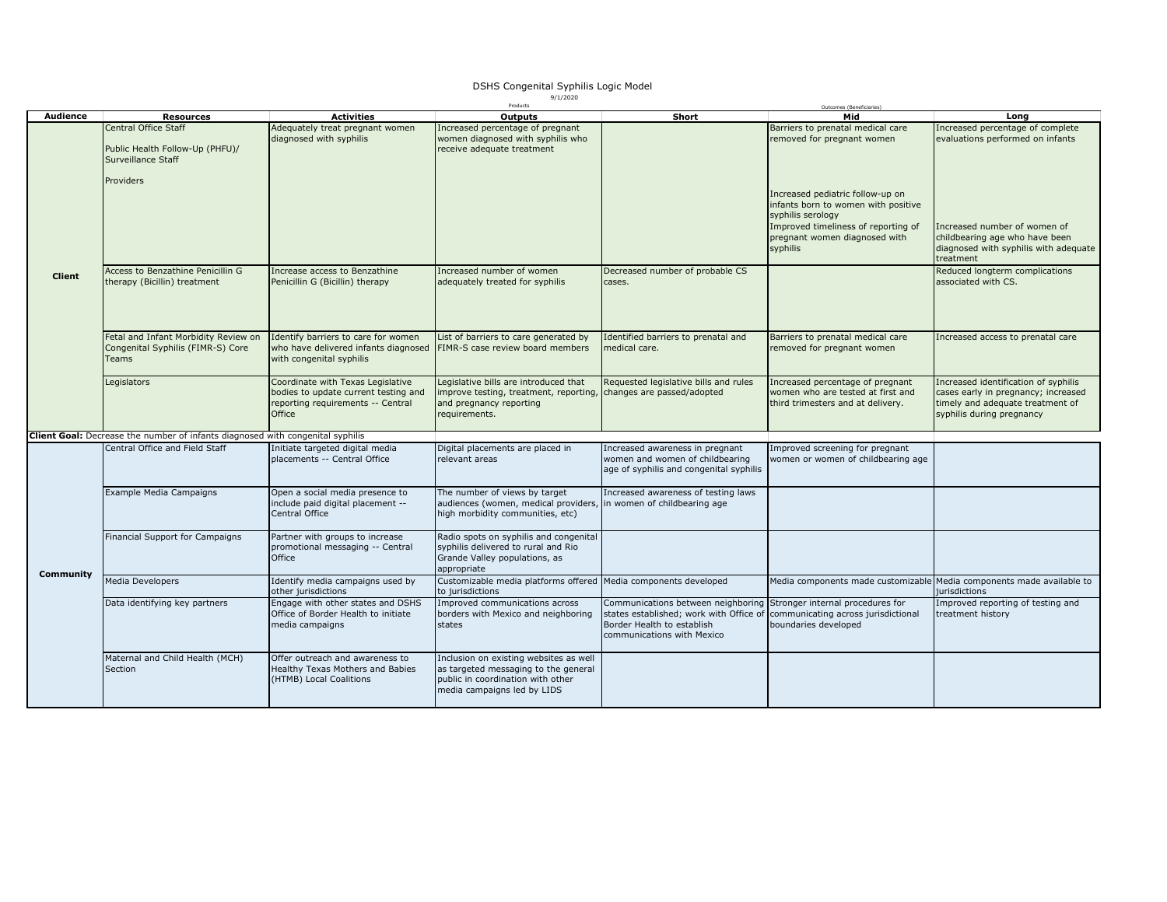## DSHS Congenital Syphilis Logic Model 9/1/2020

|               |                                                                                       |                                      | Products                                                          |                                                                             | Outcomes (Beneficiaries)                                              |                                       |
|---------------|---------------------------------------------------------------------------------------|--------------------------------------|-------------------------------------------------------------------|-----------------------------------------------------------------------------|-----------------------------------------------------------------------|---------------------------------------|
| Audience      | <b>Resources</b>                                                                      | <b>Activities</b>                    | <b>Outputs</b>                                                    | Short                                                                       | Mid                                                                   | Long                                  |
|               | <b>Central Office Staff</b>                                                           | Adequately treat pregnant women      | Increased percentage of pregnant                                  |                                                                             | Barriers to prenatal medical care                                     | Increased percentage of complete      |
|               |                                                                                       | diagnosed with syphilis              | women diagnosed with syphilis who                                 |                                                                             | removed for pregnant women                                            | evaluations performed on infants      |
|               | Public Health Follow-Up (PHFU)/                                                       |                                      | receive adequate treatment                                        |                                                                             |                                                                       |                                       |
|               |                                                                                       |                                      |                                                                   |                                                                             |                                                                       |                                       |
|               | Surveillance Staff                                                                    |                                      |                                                                   |                                                                             |                                                                       |                                       |
|               |                                                                                       |                                      |                                                                   |                                                                             |                                                                       |                                       |
|               | Providers                                                                             |                                      |                                                                   |                                                                             |                                                                       |                                       |
|               |                                                                                       |                                      |                                                                   |                                                                             |                                                                       |                                       |
|               |                                                                                       |                                      |                                                                   |                                                                             | Increased pediatric follow-up on                                      |                                       |
|               |                                                                                       |                                      |                                                                   |                                                                             | infants born to women with positive                                   |                                       |
|               |                                                                                       |                                      |                                                                   |                                                                             | syphilis serology                                                     |                                       |
|               |                                                                                       |                                      |                                                                   |                                                                             | Improved timeliness of reporting of                                   | Increased number of women of          |
|               |                                                                                       |                                      |                                                                   |                                                                             |                                                                       | childbearing age who have been        |
|               |                                                                                       |                                      |                                                                   |                                                                             | pregnant women diagnosed with                                         |                                       |
|               |                                                                                       |                                      |                                                                   |                                                                             | syphilis                                                              | diagnosed with syphilis with adequate |
|               |                                                                                       |                                      |                                                                   |                                                                             |                                                                       | treatment                             |
|               | Access to Benzathine Penicillin G                                                     | Increase access to Benzathine        | Increased number of women                                         | Decreased number of probable CS                                             |                                                                       | Reduced longterm complications        |
| <b>Client</b> | therapy (Bicillin) treatment                                                          | Penicillin G (Bicillin) therapy      | adequately treated for syphilis                                   | cases.                                                                      |                                                                       | associated with CS.                   |
|               |                                                                                       |                                      |                                                                   |                                                                             |                                                                       |                                       |
|               |                                                                                       |                                      |                                                                   |                                                                             |                                                                       |                                       |
|               |                                                                                       |                                      |                                                                   |                                                                             |                                                                       |                                       |
|               |                                                                                       |                                      |                                                                   |                                                                             |                                                                       |                                       |
|               |                                                                                       |                                      |                                                                   |                                                                             |                                                                       |                                       |
|               | Fetal and Infant Morbidity Review on                                                  | Identify barriers to care for women  | List of barriers to care generated by                             | Identified barriers to prenatal and                                         | Barriers to prenatal medical care                                     | Increased access to prenatal care     |
|               |                                                                                       |                                      |                                                                   |                                                                             |                                                                       |                                       |
|               | Congenital Syphilis (FIMR-S) Core                                                     | who have delivered infants diagnosed | FIMR-S case review board members                                  | medical care.                                                               | removed for pregnant women                                            |                                       |
|               | Teams                                                                                 | with congenital syphilis             |                                                                   |                                                                             |                                                                       |                                       |
|               |                                                                                       |                                      |                                                                   |                                                                             |                                                                       |                                       |
|               | Legislators                                                                           | Coordinate with Texas Legislative    | Legislative bills are introduced that                             | Requested legislative bills and rules                                       | Increased percentage of pregnant                                      | Increased identification of syphilis  |
|               |                                                                                       | bodies to update current testing and | improve testing, treatment, reporting, changes are passed/adopted |                                                                             | women who are tested at first and                                     | cases early in pregnancy; increased   |
|               |                                                                                       | reporting requirements -- Central    | and pregnancy reporting                                           |                                                                             | third trimesters and at delivery.                                     | timely and adequate treatment of      |
|               |                                                                                       | Office                               |                                                                   |                                                                             |                                                                       |                                       |
|               |                                                                                       |                                      | requirements.                                                     |                                                                             |                                                                       | syphilis during pregnancy             |
|               |                                                                                       |                                      |                                                                   |                                                                             |                                                                       |                                       |
|               | <b>Client Goal:</b> Decrease the number of infants diagnosed with congenital syphilis |                                      |                                                                   |                                                                             |                                                                       |                                       |
|               | Central Office and Field Staff                                                        | Initiate targeted digital media      | Digital placements are placed in                                  | Increased awareness in pregnant                                             | Improved screening for pregnant                                       |                                       |
|               |                                                                                       | placements -- Central Office         | relevant areas                                                    | women and women of childbearing                                             | women or women of childbearing age                                    |                                       |
|               |                                                                                       |                                      |                                                                   | age of syphilis and congenital syphilis                                     |                                                                       |                                       |
|               |                                                                                       |                                      |                                                                   |                                                                             |                                                                       |                                       |
|               |                                                                                       |                                      |                                                                   |                                                                             |                                                                       |                                       |
|               | Example Media Campaigns                                                               | Open a social media presence to      | The number of views by target                                     | Increased awareness of testing laws                                         |                                                                       |                                       |
|               |                                                                                       | include paid digital placement --    | audiences (women, medical providers, in women of childbearing age |                                                                             |                                                                       |                                       |
|               |                                                                                       | Central Office                       | high morbidity communities, etc)                                  |                                                                             |                                                                       |                                       |
|               |                                                                                       |                                      |                                                                   |                                                                             |                                                                       |                                       |
|               | Financial Support for Campaigns                                                       | Partner with groups to increase      | Radio spots on syphilis and congenital                            |                                                                             |                                                                       |                                       |
|               |                                                                                       | promotional messaging -- Central     | syphilis delivered to rural and Rio                               |                                                                             |                                                                       |                                       |
|               |                                                                                       | Office                               | Grande Valley populations, as                                     |                                                                             |                                                                       |                                       |
|               |                                                                                       |                                      |                                                                   |                                                                             |                                                                       |                                       |
| Community     |                                                                                       |                                      | appropriate                                                       |                                                                             |                                                                       |                                       |
|               | Media Developers                                                                      | Identify media campaigns used by     | Customizable media platforms offered Media components developed   |                                                                             | Media components made customizable Media components made available to |                                       |
|               |                                                                                       | other jurisdictions                  | to jurisdictions                                                  |                                                                             |                                                                       | jurisdictions                         |
|               | Data identifying key partners                                                         | Engage with other states and DSHS    | Improved communications across                                    | Communications between neighboring                                          | Stronger internal procedures for                                      | Improved reporting of testing and     |
|               |                                                                                       | Office of Border Health to initiate  | borders with Mexico and neighboring                               | states established; work with Office of communicating across jurisdictional |                                                                       | reatment history                      |
|               |                                                                                       | media campaigns                      | states                                                            | Border Health to establish                                                  | boundaries developed                                                  |                                       |
|               |                                                                                       |                                      |                                                                   |                                                                             |                                                                       |                                       |
|               |                                                                                       |                                      |                                                                   | communications with Mexico                                                  |                                                                       |                                       |
|               |                                                                                       |                                      |                                                                   |                                                                             |                                                                       |                                       |
|               | Maternal and Child Health (MCH)                                                       | Offer outreach and awareness to      | Inclusion on existing websites as well                            |                                                                             |                                                                       |                                       |
|               | Section                                                                               | Healthy Texas Mothers and Babies     | as targeted messaging to the general                              |                                                                             |                                                                       |                                       |
|               |                                                                                       | (HTMB) Local Coalitions              | public in coordination with other                                 |                                                                             |                                                                       |                                       |
|               |                                                                                       |                                      | media campaigns led by LIDS                                       |                                                                             |                                                                       |                                       |
|               |                                                                                       |                                      |                                                                   |                                                                             |                                                                       |                                       |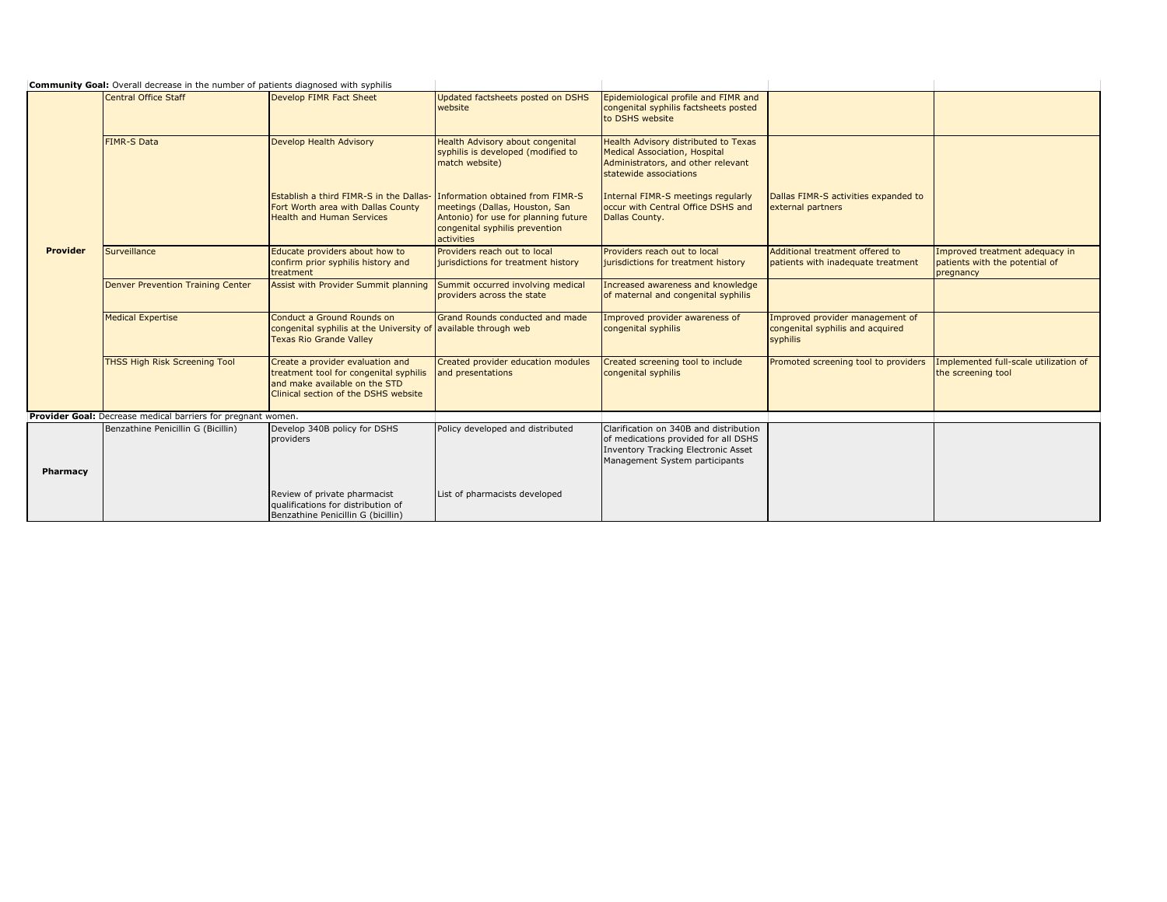|          | <b>Community Goal:</b> Overall decrease in the number of patients diagnosed with syphilis |                                                                                                                                                     |                                                                                                                                                            |                                                                                                                                                                |                                                                                 |                                                                               |
|----------|-------------------------------------------------------------------------------------------|-----------------------------------------------------------------------------------------------------------------------------------------------------|------------------------------------------------------------------------------------------------------------------------------------------------------------|----------------------------------------------------------------------------------------------------------------------------------------------------------------|---------------------------------------------------------------------------------|-------------------------------------------------------------------------------|
|          | <b>Central Office Staff</b>                                                               | Develop FIMR Fact Sheet                                                                                                                             | Updated factsheets posted on DSHS<br>website                                                                                                               | Epidemiological profile and FIMR and<br>congenital syphilis factsheets posted<br>to DSHS website                                                               |                                                                                 |                                                                               |
|          | <b>FIMR-S Data</b>                                                                        | Develop Health Advisory                                                                                                                             | <b>Health Advisory about congenital</b><br>syphilis is developed (modified to<br>match website)                                                            | Health Advisory distributed to Texas<br><b>Medical Association, Hospital</b><br>Administrators, and other relevant<br>statewide associations                   |                                                                                 |                                                                               |
|          |                                                                                           | <b>Establish a third FIMR-S in the Dallas-</b><br>Fort Worth area with Dallas County<br><b>Health and Human Services</b>                            | Information obtained from FIMR-S<br>meetings (Dallas, Houston, San<br>Antonio) for use for planning future<br>congenital syphilis prevention<br>activities | Internal FIMR-S meetings regularly<br>occur with Central Office DSHS and<br>Dallas County.                                                                     | Dallas FIMR-S activities expanded to<br>external partners                       |                                                                               |
| Provider | Surveillance                                                                              | Educate providers about how to<br>confirm prior syphilis history and<br>treatment                                                                   | Providers reach out to local<br>jurisdictions for treatment history                                                                                        | Providers reach out to local<br>jurisdictions for treatment history                                                                                            | Additional treatment offered to<br>patients with inadequate treatment           | Improved treatment adequacy in<br>patients with the potential of<br>pregnancy |
|          | Denver Prevention Training Center                                                         | Assist with Provider Summit planning                                                                                                                | Summit occurred involving medical<br>providers across the state                                                                                            | Increased awareness and knowledge<br>of maternal and congenital syphilis                                                                                       |                                                                                 |                                                                               |
|          | <b>Medical Expertise</b>                                                                  | Conduct a Ground Rounds on<br>congenital syphilis at the University of<br><b>Texas Rio Grande Valley</b>                                            | <b>Grand Rounds conducted and made</b><br>available through web                                                                                            | Improved provider awareness of<br>congenital syphilis                                                                                                          | Improved provider management of<br>congenital syphilis and acquired<br>syphilis |                                                                               |
|          | <b>THSS High Risk Screening Tool</b>                                                      | Create a provider evaluation and<br>treatment tool for congenital syphilis<br>and make available on the STD<br>Clinical section of the DSHS website | Created provider education modules<br>and presentations                                                                                                    | Created screening tool to include<br>congenital syphilis                                                                                                       | Promoted screening tool to providers                                            | Implemented full-scale utilization of<br>the screening tool                   |
|          | Provider Goal: Decrease medical barriers for pregnant women.                              |                                                                                                                                                     |                                                                                                                                                            |                                                                                                                                                                |                                                                                 |                                                                               |
| Pharmacy | Benzathine Penicillin G (Bicillin)                                                        | Develop 340B policy for DSHS<br>providers                                                                                                           | Policy developed and distributed                                                                                                                           | Clarification on 340B and distribution<br>of medications provided for all DSHS<br><b>Inventory Tracking Electronic Asset</b><br>Management System participants |                                                                                 |                                                                               |
|          |                                                                                           | Review of private pharmacist<br>qualifications for distribution of<br>Benzathine Penicillin G (bicillin)                                            | List of pharmacists developed                                                                                                                              |                                                                                                                                                                |                                                                                 |                                                                               |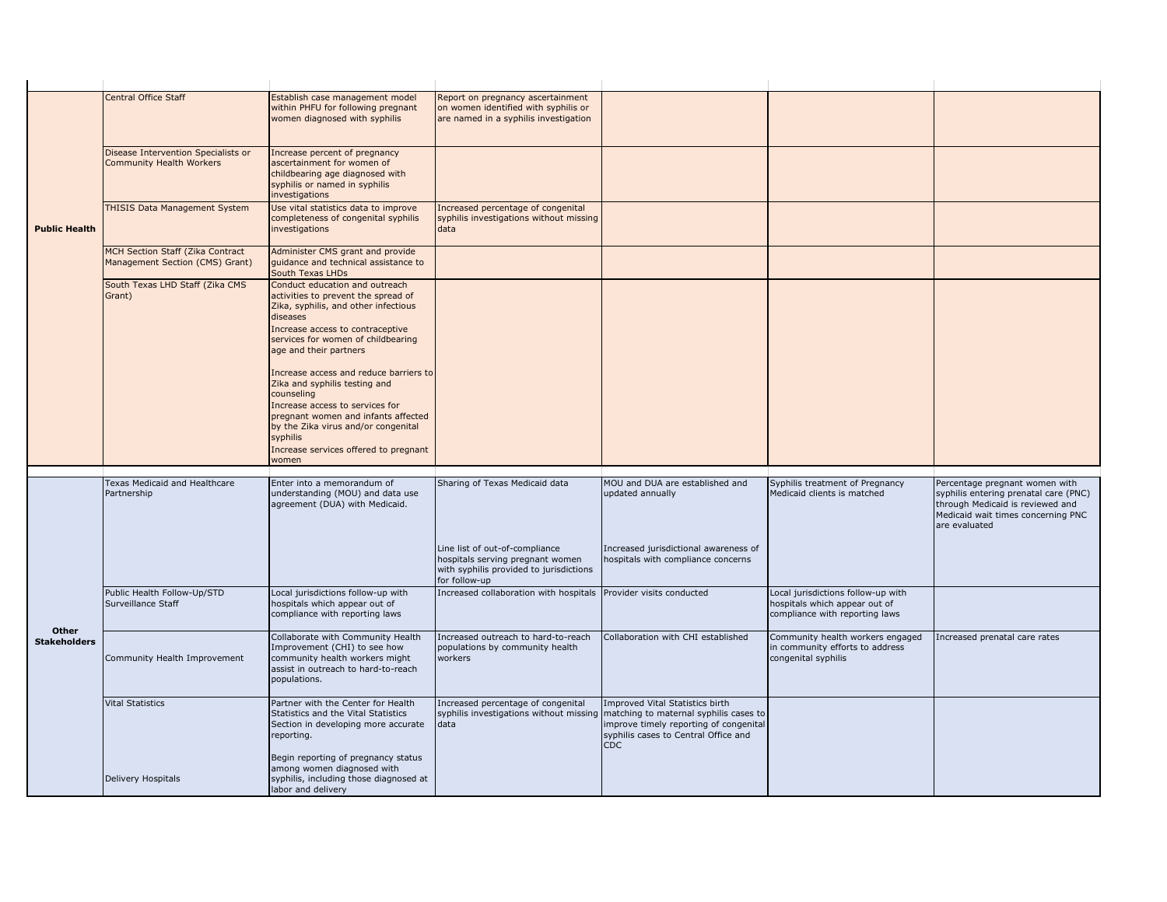|                              | Central Office Staff                                                | Establish case management model<br>within PHFU for following pregnant<br>women diagnosed with syphilis                                                                                                                                                               | Report on pregnancy ascertainment<br>on women identified with syphilis or<br>are named in a syphilis investigation             |                                                                                              |                                                                                                       |                                                                                                                                                                    |
|------------------------------|---------------------------------------------------------------------|----------------------------------------------------------------------------------------------------------------------------------------------------------------------------------------------------------------------------------------------------------------------|--------------------------------------------------------------------------------------------------------------------------------|----------------------------------------------------------------------------------------------|-------------------------------------------------------------------------------------------------------|--------------------------------------------------------------------------------------------------------------------------------------------------------------------|
| <b>Public Health</b>         | Disease Intervention Specialists or<br>Community Health Workers     | Increase percent of pregnancy<br>ascertainment for women of<br>childbearing age diagnosed with<br>syphilis or named in syphilis<br>investigations                                                                                                                    |                                                                                                                                |                                                                                              |                                                                                                       |                                                                                                                                                                    |
|                              | THISIS Data Management System                                       | Use vital statistics data to improve<br>completeness of congenital syphilis<br>investigations                                                                                                                                                                        | Increased percentage of congenital<br>syphilis investigations without missing<br>data                                          |                                                                                              |                                                                                                       |                                                                                                                                                                    |
|                              | MCH Section Staff (Zika Contract<br>Management Section (CMS) Grant) | Administer CMS grant and provide<br>guidance and technical assistance to<br>South Texas LHDs                                                                                                                                                                         |                                                                                                                                |                                                                                              |                                                                                                       |                                                                                                                                                                    |
|                              | South Texas LHD Staff (Zika CMS<br>Grant)                           | Conduct education and outreach<br>activities to prevent the spread of<br>Zika, syphilis, and other infectious<br>diseases<br>Increase access to contraceptive<br>services for women of childbearing<br>age and their partners                                        |                                                                                                                                |                                                                                              |                                                                                                       |                                                                                                                                                                    |
|                              |                                                                     | Increase access and reduce barriers to<br>Zika and syphilis testing and<br>counseling<br>Increase access to services for<br>pregnant women and infants affected<br>by the Zika virus and/or congenital<br>syphilis<br>Increase services offered to pregnant<br>women |                                                                                                                                |                                                                                              |                                                                                                       |                                                                                                                                                                    |
|                              |                                                                     |                                                                                                                                                                                                                                                                      |                                                                                                                                |                                                                                              |                                                                                                       |                                                                                                                                                                    |
|                              | Texas Medicaid and Healthcare<br>Partnership                        | Enter into a memorandum of<br>understanding (MOU) and data use<br>agreement (DUA) with Medicaid.                                                                                                                                                                     | Sharing of Texas Medicaid data                                                                                                 | MOU and DUA are established and<br>updated annually                                          | Syphilis treatment of Pregnancy<br>Medicaid clients is matched                                        | Percentage pregnant women with<br>syphilis entering prenatal care (PNC)<br>through Medicaid is reviewed and<br>Medicaid wait times concerning PNC<br>are evaluated |
| Other<br><b>Stakeholders</b> |                                                                     |                                                                                                                                                                                                                                                                      | Line list of out-of-compliance<br>hospitals serving pregnant women<br>with syphilis provided to jurisdictions<br>for follow-up | Increased jurisdictional awareness of<br>hospitals with compliance concerns                  |                                                                                                       |                                                                                                                                                                    |
|                              | Public Health Follow-Up/STD<br>Surveillance Staff                   | Local jurisdictions follow-up with<br>hospitals which appear out of<br>compliance with reporting laws                                                                                                                                                                | Increased collaboration with hospitals Provider visits conducted                                                               |                                                                                              | Local jurisdictions follow-up with<br>hospitals which appear out of<br>compliance with reporting laws |                                                                                                                                                                    |
|                              | Community Health Improvement                                        | Collaborate with Community Health<br>Improvement (CHI) to see how<br>community health workers might<br>assist in outreach to hard-to-reach<br>populations.                                                                                                           | Increased outreach to hard-to-reach<br>populations by community health<br>workers                                              | Collaboration with CHI established                                                           | Community health workers engaged<br>in community efforts to address<br>congenital syphilis            | Increased prenatal care rates                                                                                                                                      |
|                              | <b>Vital Statistics</b>                                             | Partner with the Center for Health                                                                                                                                                                                                                                   | Increased percentage of congenital                                                                                             | Improved Vital Statistics birth                                                              |                                                                                                       |                                                                                                                                                                    |
|                              |                                                                     | Statistics and the Vital Statistics<br>Section in developing more accurate<br>reporting.<br>Begin reporting of pregnancy status                                                                                                                                      | syphilis investigations without missing matching to maternal syphilis cases to<br>data                                         | improve timely reporting of congenital<br>syphilis cases to Central Office and<br><b>CDC</b> |                                                                                                       |                                                                                                                                                                    |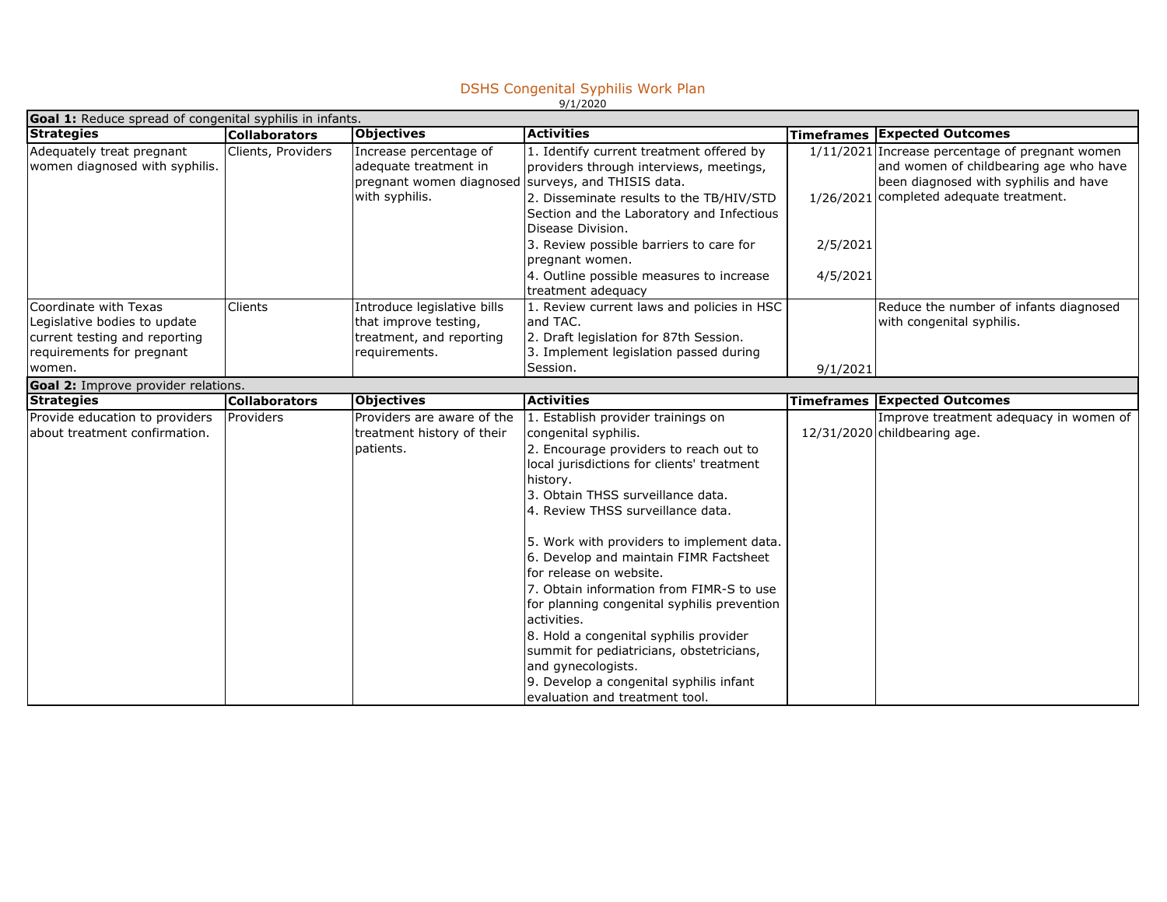## DSHS Congenital Syphilis Work Plan 9/1/2020

| <b>Goal 1:</b> Reduce spread of congenital syphilis in infants.                                                               |                      |                                                                                                                         |                                                                                                                                                                                                                                                                                                                                                                                                                                                                                                                                                                                                                                                               |                      |                                                                                                                                                                               |  |  |
|-------------------------------------------------------------------------------------------------------------------------------|----------------------|-------------------------------------------------------------------------------------------------------------------------|---------------------------------------------------------------------------------------------------------------------------------------------------------------------------------------------------------------------------------------------------------------------------------------------------------------------------------------------------------------------------------------------------------------------------------------------------------------------------------------------------------------------------------------------------------------------------------------------------------------------------------------------------------------|----------------------|-------------------------------------------------------------------------------------------------------------------------------------------------------------------------------|--|--|
| <b>Strategies</b>                                                                                                             | <b>Collaborators</b> | <b>Objectives</b>                                                                                                       | <b>Activities</b>                                                                                                                                                                                                                                                                                                                                                                                                                                                                                                                                                                                                                                             |                      | <b>Timeframes Expected Outcomes</b>                                                                                                                                           |  |  |
| Adequately treat pregnant<br>women diagnosed with syphilis.                                                                   | Clients, Providers   | Increase percentage of<br>adequate treatment in<br>pregnant women diagnosed surveys, and THISIS data.<br>with syphilis. | 1. Identify current treatment offered by<br>providers through interviews, meetings,<br>2. Disseminate results to the TB/HIV/STD<br>Section and the Laboratory and Infectious<br>Disease Division.<br>3. Review possible barriers to care for<br>pregnant women.<br>4. Outline possible measures to increase<br>treatment adequacy                                                                                                                                                                                                                                                                                                                             | 2/5/2021<br>4/5/2021 | 1/11/2021 Increase percentage of pregnant women<br>and women of childbearing age who have<br>been diagnosed with syphilis and have<br>1/26/2021 completed adequate treatment. |  |  |
| Coordinate with Texas<br>Legislative bodies to update<br>current testing and reporting<br>requirements for pregnant<br>women. | Clients              | Introduce legislative bills<br>that improve testing,<br>treatment, and reporting<br>requirements.                       | 1. Review current laws and policies in HSC<br>and TAC.<br>2. Draft legislation for 87th Session.<br>3. Implement legislation passed during<br>Session.                                                                                                                                                                                                                                                                                                                                                                                                                                                                                                        | 9/1/2021             | Reduce the number of infants diagnosed<br>with congenital syphilis.                                                                                                           |  |  |
| Goal 2: Improve provider relations.                                                                                           |                      |                                                                                                                         |                                                                                                                                                                                                                                                                                                                                                                                                                                                                                                                                                                                                                                                               |                      |                                                                                                                                                                               |  |  |
| <b>Strategies</b>                                                                                                             | <b>Collaborators</b> | <b>Objectives</b>                                                                                                       | <b>Activities</b>                                                                                                                                                                                                                                                                                                                                                                                                                                                                                                                                                                                                                                             |                      | <b>Timeframes Expected Outcomes</b>                                                                                                                                           |  |  |
| Provide education to providers<br>about treatment confirmation.                                                               | Providers            | Providers are aware of the<br>treatment history of their<br>patients.                                                   | 1. Establish provider trainings on<br>congenital syphilis.<br>2. Encourage providers to reach out to<br>local jurisdictions for clients' treatment<br>history.<br>3. Obtain THSS surveillance data.<br>4. Review THSS surveillance data.<br>5. Work with providers to implement data.<br>6. Develop and maintain FIMR Factsheet<br>for release on website.<br>7. Obtain information from FIMR-S to use<br>for planning congenital syphilis prevention<br>activities.<br>8. Hold a congenital syphilis provider<br>summit for pediatricians, obstetricians,<br>and gynecologists.<br>9. Develop a congenital syphilis infant<br>evaluation and treatment tool. |                      | Improve treatment adequacy in women of<br>12/31/2020 childbearing age.                                                                                                        |  |  |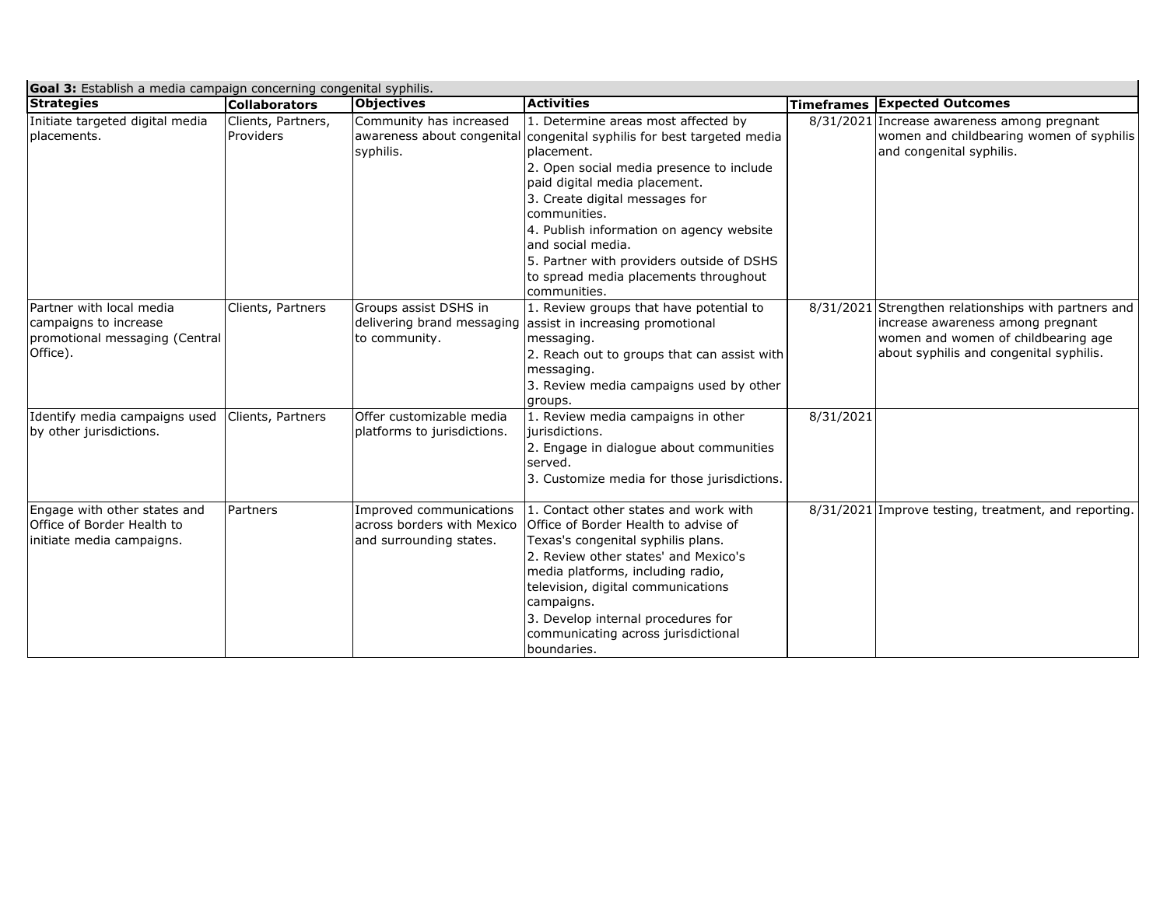| <b>Goal 3:</b> Establish a media campaign concerning congenital syphilis.                       |                                 |                                                                                   |                                                                                                                                                                                                                                                                                                                                                                                                        |           |                                                                                                                                                                             |  |  |
|-------------------------------------------------------------------------------------------------|---------------------------------|-----------------------------------------------------------------------------------|--------------------------------------------------------------------------------------------------------------------------------------------------------------------------------------------------------------------------------------------------------------------------------------------------------------------------------------------------------------------------------------------------------|-----------|-----------------------------------------------------------------------------------------------------------------------------------------------------------------------------|--|--|
| <b>Strategies</b>                                                                               | <b>Collaborators</b>            | <b>Objectives</b>                                                                 | <b>Activities</b>                                                                                                                                                                                                                                                                                                                                                                                      |           | <b>Timeframes Expected Outcomes</b>                                                                                                                                         |  |  |
| Initiate targeted digital media<br>placements.                                                  | Clients, Partners,<br>Providers | Community has increased<br>awareness about congenital<br>syphilis.                | 1. Determine areas most affected by<br>congenital syphilis for best targeted media<br>placement.<br>2. Open social media presence to include<br>paid digital media placement.<br>3. Create digital messages for<br>communities.<br>4. Publish information on agency website<br>and social media.<br>5. Partner with providers outside of DSHS<br>to spread media placements throughout<br>communities. |           | 8/31/2021 Increase awareness among pregnant<br>women and childbearing women of syphilis<br>and congenital syphilis.                                                         |  |  |
| Partner with local media<br>campaigns to increase<br>promotional messaging (Central<br>Office). | Clients, Partners               | Groups assist DSHS in<br>delivering brand messaging<br>to community.              | 1. Review groups that have potential to<br>assist in increasing promotional<br>messaging.<br>2. Reach out to groups that can assist with<br>messaging.<br>3. Review media campaigns used by other<br>groups.                                                                                                                                                                                           |           | 8/31/2021 Strengthen relationships with partners and<br>increase awareness among pregnant<br>women and women of childbearing age<br>about syphilis and congenital syphilis. |  |  |
| Identify media campaigns used<br>by other jurisdictions.                                        | Clients, Partners               | Offer customizable media<br>platforms to jurisdictions.                           | 1. Review media campaigns in other<br>jurisdictions.<br>2. Engage in dialogue about communities<br>served.<br>3. Customize media for those jurisdictions.                                                                                                                                                                                                                                              | 8/31/2021 |                                                                                                                                                                             |  |  |
| Engage with other states and<br>Office of Border Health to<br>initiate media campaigns.         | Partners                        | Improved communications<br>lacross borders with Mexico<br>and surrounding states. | 1. Contact other states and work with<br>Office of Border Health to advise of<br>Texas's congenital syphilis plans.<br>2. Review other states' and Mexico's<br>media platforms, including radio,<br>television, digital communications<br>campaigns.<br>3. Develop internal procedures for<br>communicating across jurisdictional<br>boundaries.                                                       |           | 8/31/2021 Improve testing, treatment, and reporting.                                                                                                                        |  |  |